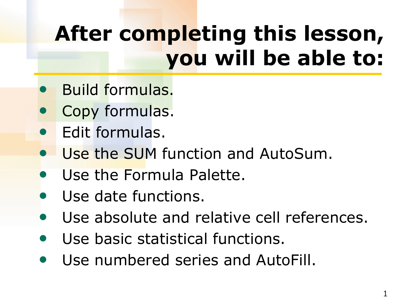## **After completing this lesson, you will be able to:**

- Build formulas.
- Copy formulas.
- Edit formulas.
- Use the SUM function and AutoSum.
- Use the Formula Palette.
- Use date functions.
- Use absolute and relative cell references.
- Use basic statistical functions.
- Use numbered series and AutoFill.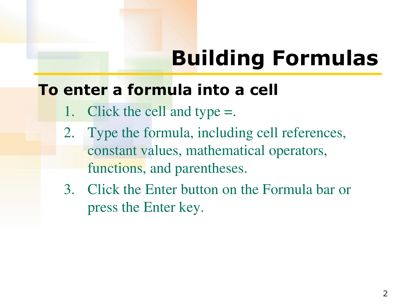## **Building Formulas**

#### **To enter a formula into a cell**

- 1. Click the cell and type =.
- 2. Type the formula, including cell references, constant values, mathematical operators, functions, and parentheses.
- 3. Click the Enter button on the Formula bar or press the Enter key.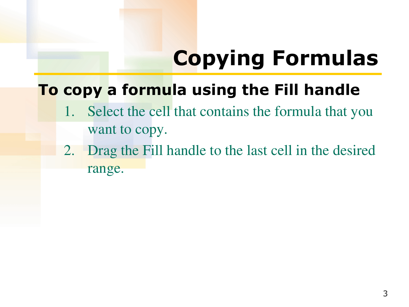# **Copying Formulas**

### **To copy a formula using the Fill handle**

- 1. Select the cell that contains the formula that you want to copy.
- 2. Drag the Fill handle to the last cell in the desired range.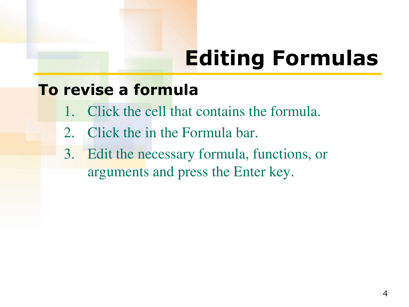## **Editing Formulas**

#### **To revise a formula**

- 1. Click the cell that contains the formula.
- 2. Click the in the Formula bar.
- 3. Edit the necessary formula, functions, or arguments and press the Enter key.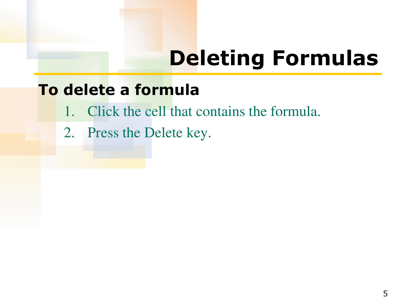### **Deleting Formulas**

#### **To delete a formula**

- 1. Click the cell that contains the formula.
- 2. Press the Delete key.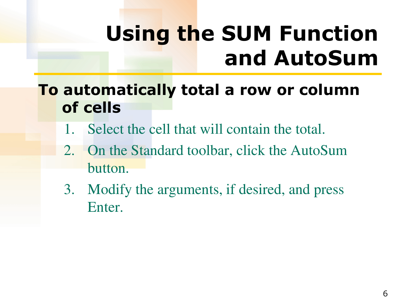## **Using the SUM Function and AutoSum**

### **To automatically total a row or column of cells**

- 1. Select the cell that will contain the total.
- 2. On the Standard toolbar, click the AutoSum button.
- 3. Modify the arguments, if desired, and press Enter.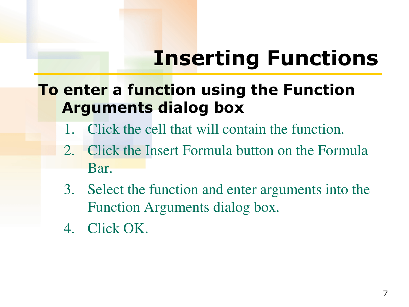## **Inserting Functions**

### **To enter a function using the Function Arguments dialog box**

- 1. Click the cell that will contain the function.
- 2. Click the Insert Formula button on the Formula Bar.
- 3. Select the function and enter arguments into the Function Arguments dialog box.
- 4. Click OK.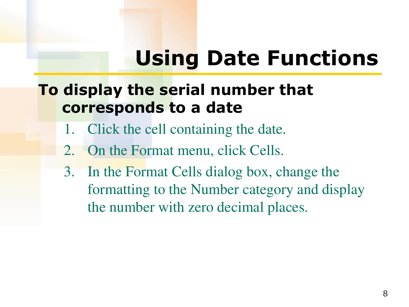## **Using Date Functions**

### **To display the serial number that corresponds to a date**

- 1. Click the cell containing the date.
- 2. On the Format menu, click Cells.
- 3. In the Format Cells dialog box, change the formatting to the Number category and display the number with zero decimal places.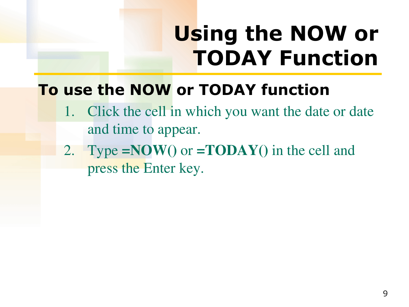## **Using the NOW or TODAY Function**

### **To use the NOW or TODAY function**

- 1. Click the cell in which you want the date or date and time to appear.
- 2. Type **=NOW()** or **=TODAY()** in the cell and press the Enter key.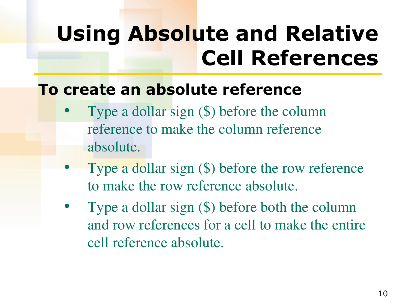## **Using Absolute and Relative Cell References**

#### **To create an absolute reference**

- Type a dollar sign (\$) before the column reference to make the column reference absolute.
- Type a dollar sign  $(\$)$  before the row reference to make the row reference absolute.
- Type a dollar sign  $(\$)$  before both the column and row references for a cell to make the entire cell reference absolute.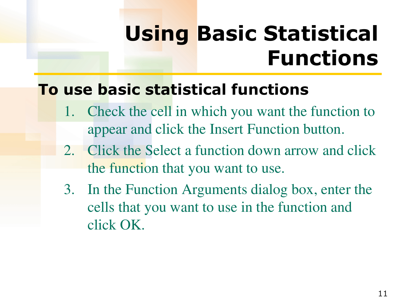## **Using Basic Statistical Functions**

### **To use basic statistical functions**

- 1. Check the cell in which you want the function to appear and click the Insert Function button.
- 2. Click the Select a function down arrow and click the function that you want to use.
- 3. In the Function Arguments dialog box, enter the cells that you want to use in the function and click OK.